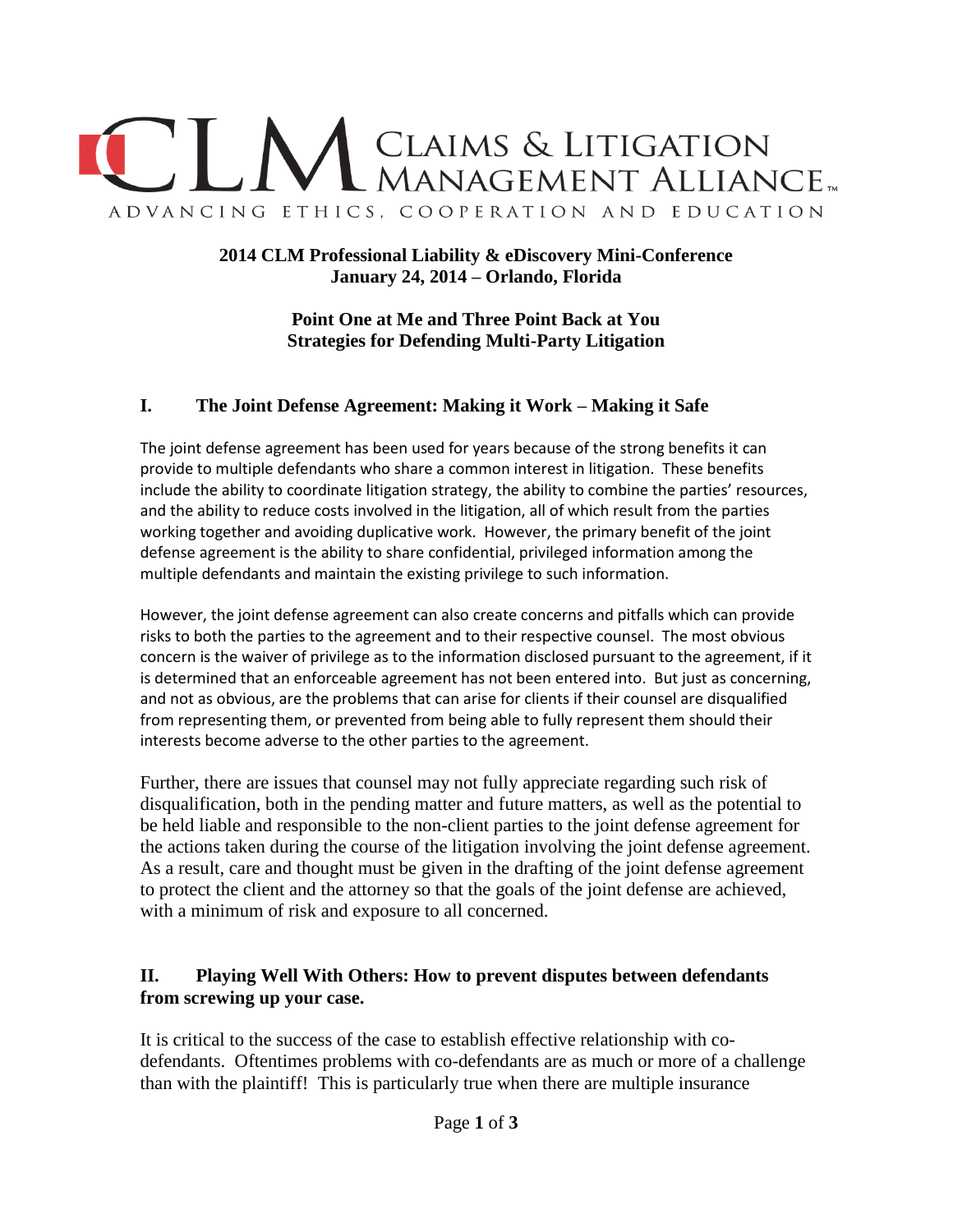

## **2014 CLM Professional Liability & eDiscovery Mini-Conference January 24, 2014 – Orlando, Florida**

**Point One at Me and Three Point Back at You Strategies for Defending Multi-Party Litigation**

## **I. The Joint Defense Agreement: Making it Work – Making it Safe**

The joint defense agreement has been used for years because of the strong benefits it can provide to multiple defendants who share a common interest in litigation. These benefits include the ability to coordinate litigation strategy, the ability to combine the parties' resources, and the ability to reduce costs involved in the litigation, all of which result from the parties working together and avoiding duplicative work. However, the primary benefit of the joint defense agreement is the ability to share confidential, privileged information among the multiple defendants and maintain the existing privilege to such information.

However, the joint defense agreement can also create concerns and pitfalls which can provide risks to both the parties to the agreement and to their respective counsel. The most obvious concern is the waiver of privilege as to the information disclosed pursuant to the agreement, if it is determined that an enforceable agreement has not been entered into. But just as concerning, and not as obvious, are the problems that can arise for clients if their counsel are disqualified from representing them, or prevented from being able to fully represent them should their interests become adverse to the other parties to the agreement.

Further, there are issues that counsel may not fully appreciate regarding such risk of disqualification, both in the pending matter and future matters, as well as the potential to be held liable and responsible to the non-client parties to the joint defense agreement for the actions taken during the course of the litigation involving the joint defense agreement. As a result, care and thought must be given in the drafting of the joint defense agreement to protect the client and the attorney so that the goals of the joint defense are achieved, with a minimum of risk and exposure to all concerned.

## **II. Playing Well With Others: How to prevent disputes between defendants from screwing up your case.**

It is critical to the success of the case to establish effective relationship with codefendants. Oftentimes problems with co-defendants are as much or more of a challenge than with the plaintiff! This is particularly true when there are multiple insurance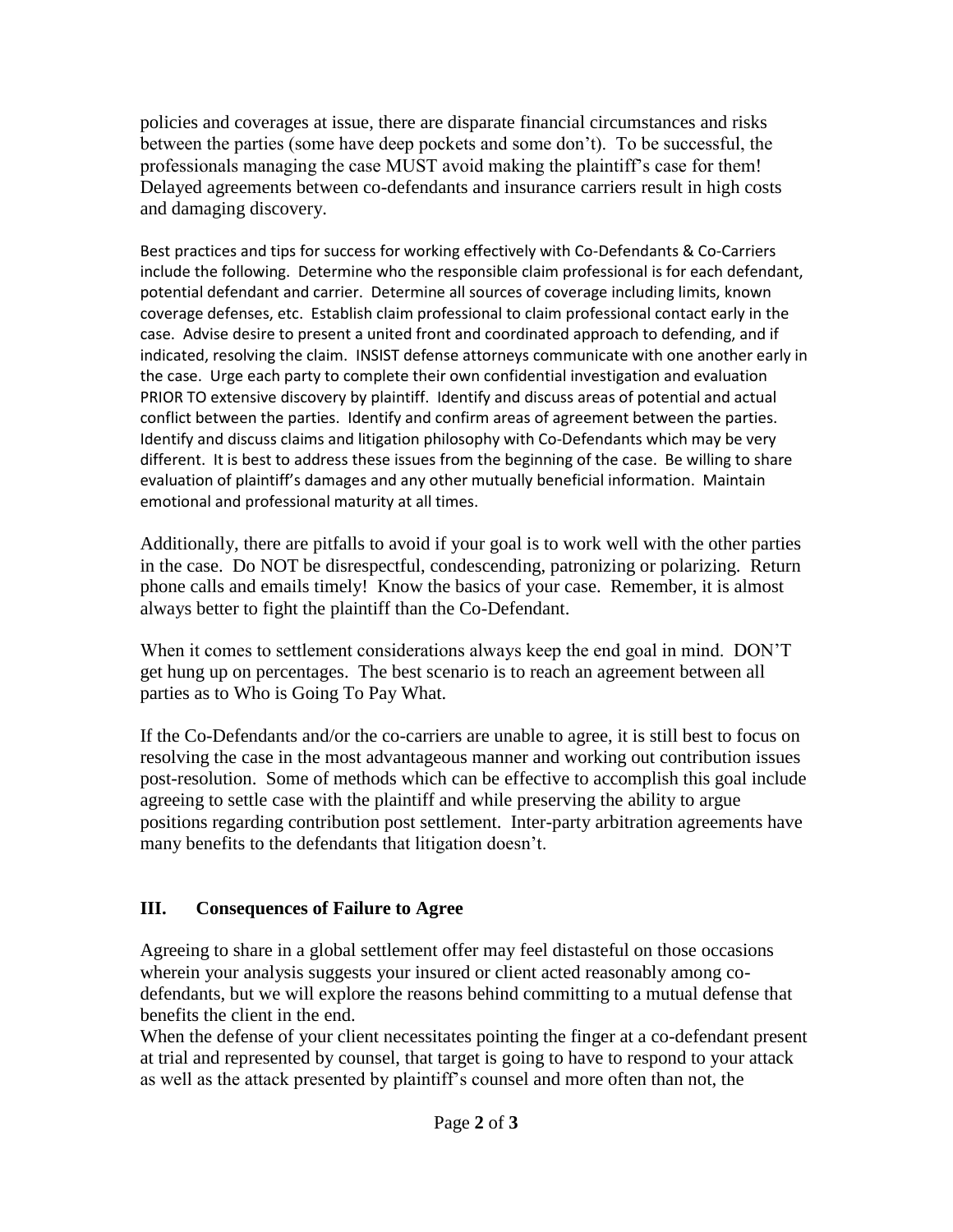policies and coverages at issue, there are disparate financial circumstances and risks between the parties (some have deep pockets and some don't). To be successful, the professionals managing the case MUST avoid making the plaintiff's case for them! Delayed agreements between co-defendants and insurance carriers result in high costs and damaging discovery.

Best practices and tips for success for working effectively with Co-Defendants & Co-Carriers include the following. Determine who the responsible claim professional is for each defendant, potential defendant and carrier. Determine all sources of coverage including limits, known coverage defenses, etc. Establish claim professional to claim professional contact early in the case. Advise desire to present a united front and coordinated approach to defending, and if indicated, resolving the claim. INSIST defense attorneys communicate with one another early in the case. Urge each party to complete their own confidential investigation and evaluation PRIOR TO extensive discovery by plaintiff. Identify and discuss areas of potential and actual conflict between the parties. Identify and confirm areas of agreement between the parties. Identify and discuss claims and litigation philosophy with Co-Defendants which may be very different. It is best to address these issues from the beginning of the case. Be willing to share evaluation of plaintiff's damages and any other mutually beneficial information. Maintain emotional and professional maturity at all times.

Additionally, there are pitfalls to avoid if your goal is to work well with the other parties in the case. Do NOT be disrespectful, condescending, patronizing or polarizing. Return phone calls and emails timely! Know the basics of your case. Remember, it is almost always better to fight the plaintiff than the Co-Defendant.

When it comes to settlement considerations always keep the end goal in mind. DON'T get hung up on percentages. The best scenario is to reach an agreement between all parties as to Who is Going To Pay What.

If the Co-Defendants and/or the co-carriers are unable to agree, it is still best to focus on resolving the case in the most advantageous manner and working out contribution issues post-resolution. Some of methods which can be effective to accomplish this goal include agreeing to settle case with the plaintiff and while preserving the ability to argue positions regarding contribution post settlement. Inter-party arbitration agreements have many benefits to the defendants that litigation doesn't.

## **III. Consequences of Failure to Agree**

Agreeing to share in a global settlement offer may feel distasteful on those occasions wherein your analysis suggests your insured or client acted reasonably among codefendants, but we will explore the reasons behind committing to a mutual defense that benefits the client in the end.

When the defense of your client necessitates pointing the finger at a co-defendant present at trial and represented by counsel, that target is going to have to respond to your attack as well as the attack presented by plaintiff's counsel and more often than not, the